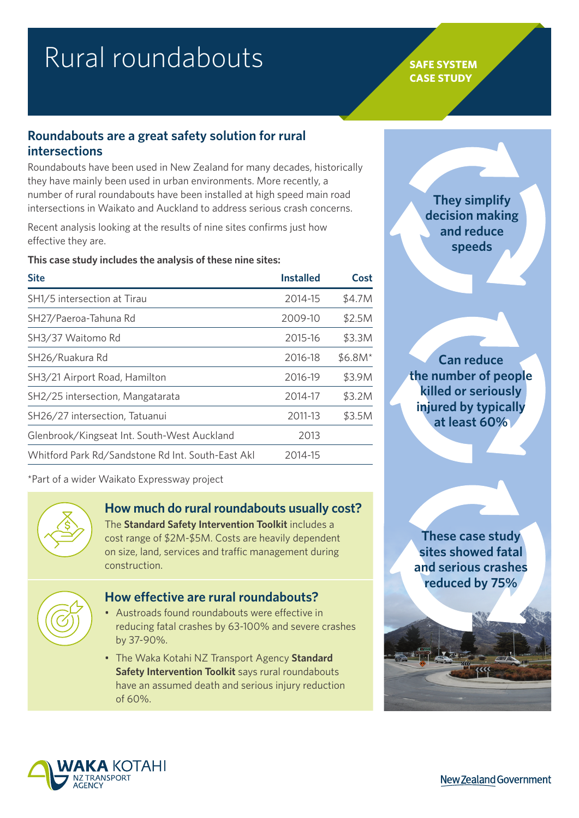# Rural roundabouts **SAFE SYSTEM**

# **CASE STUDY**

## **Roundabouts are a great safety solution for rural intersections**

Roundabouts have been used in New Zealand for many decades, historically they have mainly been used in urban environments. More recently, a number of rural roundabouts have been installed at high speed main road intersections in Waikato and Auckland to address serious crash concerns.

Recent analysis looking at the results of nine sites confirms just how effective they are.

**This case study includes the analysis of these nine sites:**

| <b>Site</b>                                       | <b>Installed</b> | Cost     |
|---------------------------------------------------|------------------|----------|
| SH1/5 intersection at Tirau                       | 2014-15          | \$4.7M   |
| SH27/Paeroa-Tahuna Rd                             | 2009-10          | \$2.5M   |
| SH3/37 Waitomo Rd                                 | 2015-16          | \$3.3M   |
| SH26/Ruakura Rd                                   | 2016-18          | $$6.8M*$ |
| SH3/21 Airport Road, Hamilton                     | 2016-19          | \$3.9M   |
| SH2/25 intersection, Mangatarata                  | 2014-17          | \$3.2M   |
| SH26/27 intersection, Tatuanui                    | 2011-13          | \$3.5M   |
| Glenbrook/Kingseat Int. South-West Auckland       | 2013             |          |
| Whitford Park Rd/Sandstone Rd Int. South-East Akl | 2014-15          |          |
|                                                   |                  |          |

\*Part of a wider Waikato Expressway project

# **How much do rural roundabouts usually cost?**

The **[Standard Safety Intervention Toolkit](https://www.nzta.govt.nz/assets/resources/standard-safety-intervention-toolkit/standard-safety-intervention-toolkit.pdf)** includes a cost range of \$2M-\$5M. Costs are heavily dependent on size, land, services and traffic management during construction.



## **How effective are rural roundabouts?**

- Austroads found roundabouts were effective in reducing fatal crashes by 63-100% and severe crashes by 37-90%.
- The Waka Kotahi NZ Transport Agency **[Standard](https://www.nzta.govt.nz/assets/resources/standard-safety-intervention-toolkit/standard-safety-intervention-toolkit.pdf)  [Safety Intervention Toolkit](https://www.nzta.govt.nz/assets/resources/standard-safety-intervention-toolkit/standard-safety-intervention-toolkit.pdf)** says rural roundabouts have an assumed death and serious injury reduction of 60%.

**They simplify decision making and reduce speeds**

**Can reduce the number of people killed or seriously injured by typically at least 60%**

**These case study sites showed fatal and serious crashes reduced by 75%**



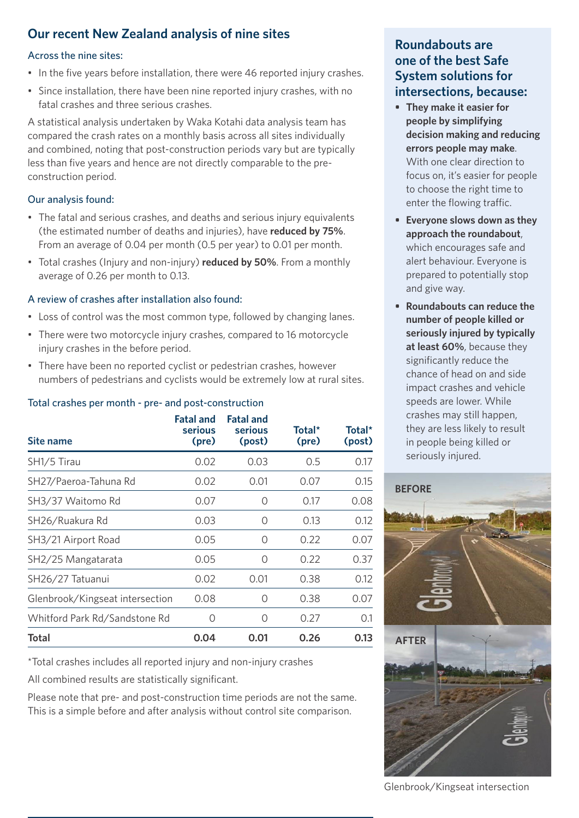# **Our recent New Zealand analysis of nine sites**

#### Across the nine sites:

- In the five years before installation, there were 46 reported injury crashes.
- Since installation, there have been nine reported injury crashes, with no fatal crashes and three serious crashes.

A statistical analysis undertaken by Waka Kotahi data analysis team has compared the crash rates on a monthly basis across all sites individually and combined, noting that post-construction periods vary but are typically less than five years and hence are not directly comparable to the preconstruction period.

## Our analysis found:

- The fatal and serious crashes, and deaths and serious injury equivalents (the estimated number of deaths and injuries), have **reduced by 75%**. From an average of 0.04 per month (0.5 per year) to 0.01 per month.
- Total crashes (Injury and non-injury) **reduced by 50%**. From a monthly average of 0.26 per month to 0.13.

## A review of crashes after installation also found:

- Loss of control was the most common type, followed by changing lanes.
- There were two motorcycle injury crashes, compared to 16 motorcycle injury crashes in the before period.
- There have been no reported cyclist or pedestrian crashes, however numbers of pedestrians and cyclists would be extremely low at rural sites.

## Total crashes per month - pre- and post-construction

| Site name                       | <b>Fatal and</b><br><b>serious</b><br>(pre) | <b>Fatal and</b><br>serious<br>(post) | Total*<br>(pre) | Total*<br>(post) |
|---------------------------------|---------------------------------------------|---------------------------------------|-----------------|------------------|
| SH1/5 Tirau                     | 0.02                                        | 0.03                                  | 0.5             | 0.17             |
| SH27/Paeroa-Tahuna Rd           | 0.02                                        | 0.01                                  | 0.07            | 0.15             |
| SH3/37 Waitomo Rd               | 0.07                                        | $\left( \right)$                      | 0.17            | 0.08             |
| SH26/Ruakura Rd                 | 0.03                                        | $\bigcirc$                            | 0.13            | 0.12             |
| SH3/21 Airport Road             | 0.05                                        | Ω                                     | 0.22            | 0.07             |
| SH2/25 Mangatarata              | 0.05                                        | Ω                                     | 0.22            | 0.37             |
| SH26/27 Tatuanui                | 0.02                                        | 0.01                                  | 0.38            | 0.12             |
| Glenbrook/Kingseat intersection | 0.08                                        | $\left( \right)$                      | 0.38            | 0.07             |
| Whitford Park Rd/Sandstone Rd   | O                                           | $\bigcirc$                            | 0.27            | 0.1              |
| Total                           | 0.04                                        | 0.01                                  | 0.26            | 0.13             |

\*Total crashes includes all reported injury and non-injury crashes

All combined results are statistically significant.

Please note that pre- and post-construction time periods are not the same. This is a simple before and after analysis without control site comparison.

## **Roundabouts are one of the best Safe System solutions for intersections, because:**

- **• They make it easier for people by simplifying decision making and reducing errors people may make**. With one clear direction to focus on, it's easier for people to choose the right time to enter the flowing traffic.
- **• Everyone slows down as they approach the roundabout**, which encourages safe and alert behaviour. Everyone is prepared to potentially stop and give way.
- **• Roundabouts can reduce the number of people killed or seriously injured by typically at least 60%**, because they significantly reduce the chance of head on and side impact crashes and vehicle speeds are lower. While crashes may still happen, they are less likely to result in people being killed or seriously injured.



Glenbrook/Kingseat intersection